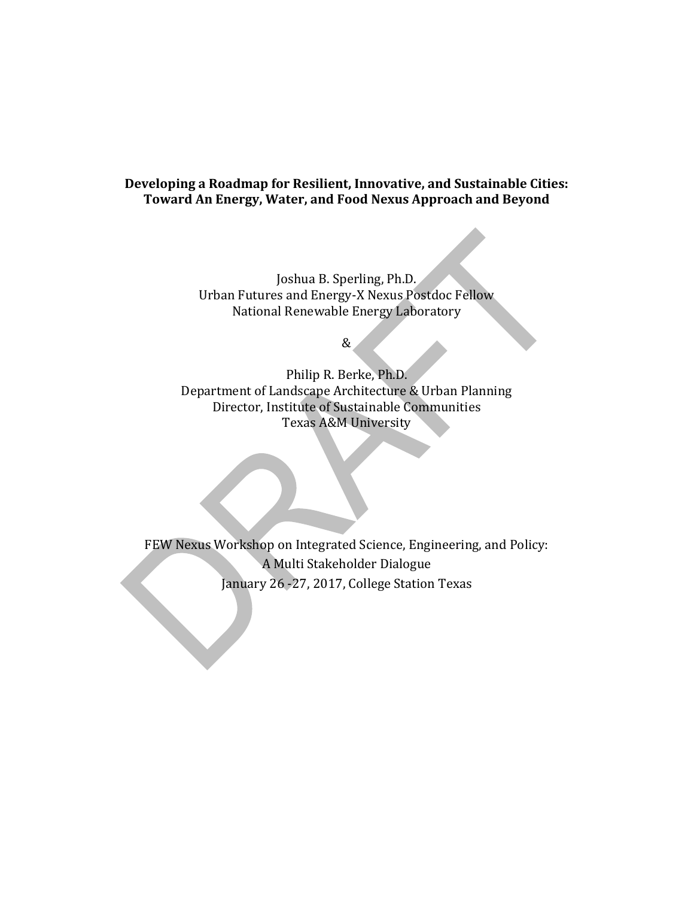#### **Developing a Roadmap for Resilient, Innovative, and Sustainable Cities: Toward An Energy, Water, and Food Nexus Approach and Beyond**

Joshua B. Sperling, Ph.D. Urban Futures and Energy-X Nexus Postdoc Fellow National Renewable Energy Laboratory

&

Philip R. Berke, Ph.D. Department of Landscape Architecture & Urban Planning Director, Institute of Sustainable Communities Texas A&M University

FEW Nexus Workshop on Integrated Science, Engineering, and Policy: A Multi Stakeholder Dialogue January 26 -27, 2017, College Station Texas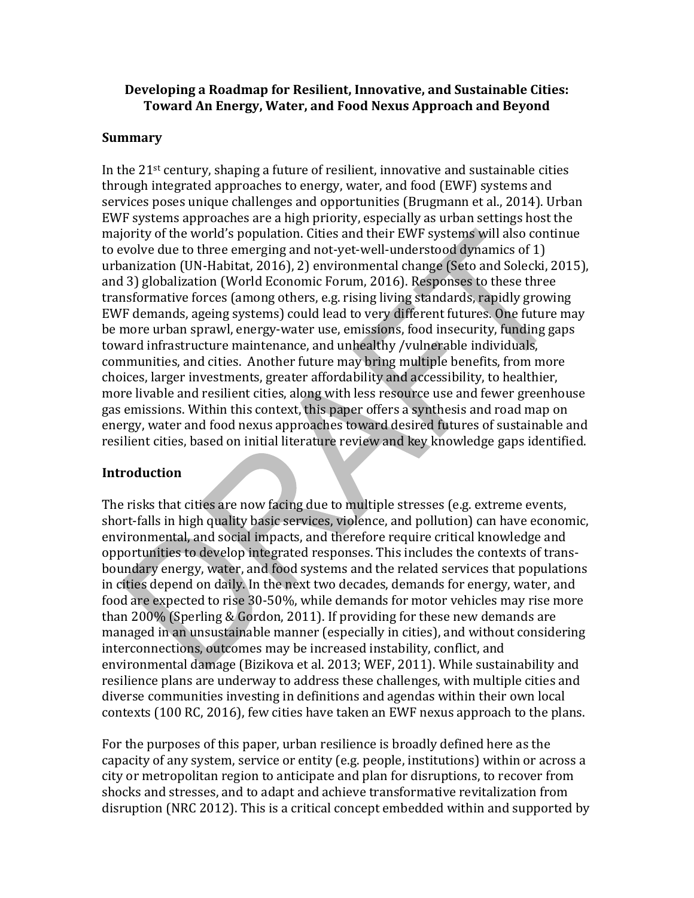#### **Developing a Roadmap for Resilient, Innovative, and Sustainable Cities: Toward An Energy, Water, and Food Nexus Approach and Beyond**

#### **Summary**

In the 21st century, shaping a future of resilient, innovative and sustainable cities through integrated approaches to energy, water, and food (EWF) systems and services poses unique challenges and opportunities (Brugmann et al., 2014). Urban EWF systems approaches are a high priority, especially as urban settings host the majority of the world's population. Cities and their EWF systems will also continue to evolve due to three emerging and not-yet-well-understood dynamics of 1) urbanization (UN-Habitat, 2016), 2) environmental change (Seto and Solecki, 2015), and 3) globalization (World Economic Forum, 2016). Responses to these three transformative forces (among others, e.g. rising living standards, rapidly growing EWF demands, ageing systems) could lead to very different futures. One future may be more urban sprawl, energy-water use, emissions, food insecurity, funding gaps toward infrastructure maintenance, and unhealthy /vulnerable individuals, communities, and cities. Another future may bring multiple benefits, from more choices, larger investments, greater affordability and accessibility, to healthier, more livable and resilient cities, along with less resource use and fewer greenhouse gas emissions. Within this context, this paper offers a synthesis and road map on energy, water and food nexus approaches toward desired futures of sustainable and resilient cities, based on initial literature review and key knowledge gaps identified.

#### **Introduction**

The risks that cities are now facing due to multiple stresses (e.g. extreme events, short-falls in high quality basic services, violence, and pollution) can have economic, environmental, and social impacts, and therefore require critical knowledge and opportunities to develop integrated responses. This includes the contexts of transboundary energy, water, and food systems and the related services that populations in cities depend on daily. In the next two decades, demands for energy, water, and food are expected to rise 30-50%, while demands for motor vehicles may rise more than 200% (Sperling & Gordon, 2011). If providing for these new demands are managed in an unsustainable manner (especially in cities), and without considering interconnections, outcomes may be increased instability, conflict, and environmental damage (Bizikova et al. 2013; WEF, 2011). While sustainability and resilience plans are underway to address these challenges, with multiple cities and diverse communities investing in definitions and agendas within their own local contexts (100 RC, 2016), few cities have taken an EWF nexus approach to the plans.

For the purposes of this paper, urban resilience is broadly defined here as the capacity of any system, service or entity (e.g. people, institutions) within or across a city or metropolitan region to anticipate and plan for disruptions, to recover from shocks and stresses, and to adapt and achieve transformative revitalization from disruption (NRC 2012). This is a critical concept embedded within and supported by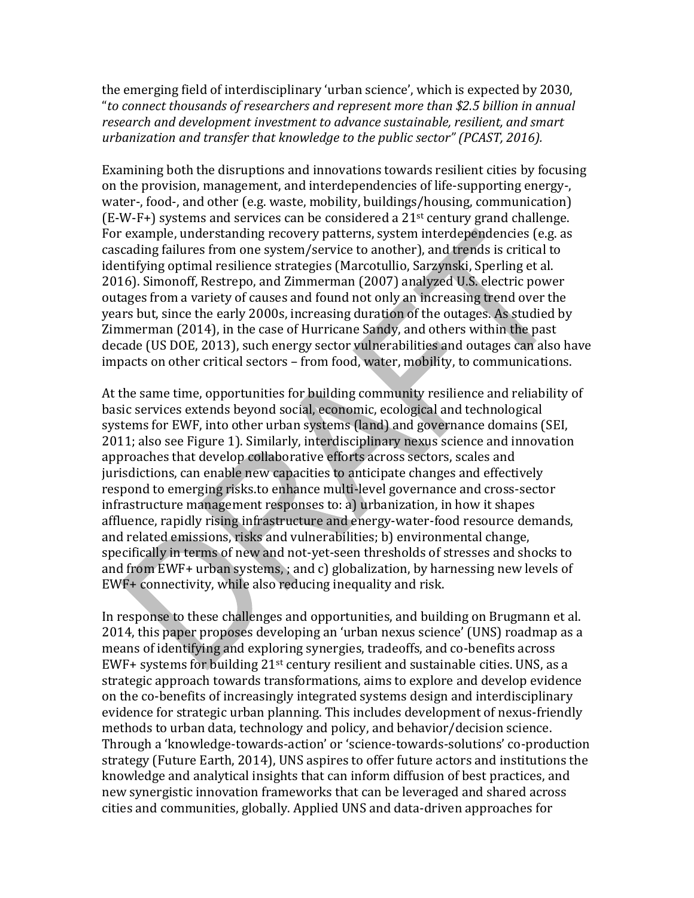the emerging field of interdisciplinary 'urban science', which is expected by 2030, "*to connect thousands of researchers and represent more than \$2.5 billion in annual research and development investment to advance sustainable, resilient, and smart urbanization and transfer that knowledge to the public sector" (PCAST, 2016).* 

Examining both the disruptions and innovations towards resilient cities by focusing on the provision, management, and interdependencies of life-supporting energy-, water-, food-, and other (e.g. waste, mobility, buildings/housing, communication)  $(E-W-F+)$  systems and services can be considered a 21<sup>st</sup> century grand challenge. For example, understanding recovery patterns, system interdependencies (e.g. as cascading failures from one system/service to another), and trends is critical to identifying optimal resilience strategies (Marcotullio, Sarzynski, Sperling et al. 2016). Simonoff, Restrepo, and Zimmerman (2007) analyzed U.S. electric power outages from a variety of causes and found not only an increasing trend over the years but, since the early 2000s, increasing duration of the outages. As studied by Zimmerman (2014), in the case of Hurricane Sandy, and others within the past decade (US DOE, 2013), such energy sector vulnerabilities and outages can also have impacts on other critical sectors – from food, water, mobility, to communications.

At the same time, opportunities for building community resilience and reliability of basic services extends beyond social, economic, ecological and technological systems for EWF, into other urban systems (land) and governance domains (SEI, 2011; also see Figure 1). Similarly, interdisciplinary nexus science and innovation approaches that develop collaborative efforts across sectors, scales and jurisdictions, can enable new capacities to anticipate changes and effectively respond to emerging risks.to enhance multi-level governance and cross-sector infrastructure management responses to: a) urbanization, in how it shapes affluence, rapidly rising infrastructure and energy-water-food resource demands, and related emissions, risks and vulnerabilities; b) environmental change, specifically in terms of new and not-yet-seen thresholds of stresses and shocks to and from EWF+ urban systems, ; and c) globalization, by harnessing new levels of EWF+ connectivity, while also reducing inequality and risk.

In response to these challenges and opportunities, and building on Brugmann et al. 2014, this paper proposes developing an 'urban nexus science' (UNS) roadmap as a means of identifying and exploring synergies, tradeoffs, and co-benefits across EWF+ systems for building 21st century resilient and sustainable cities. UNS, as a strategic approach towards transformations, aims to explore and develop evidence on the co-benefits of increasingly integrated systems design and interdisciplinary evidence for strategic urban planning. This includes development of nexus-friendly methods to urban data, technology and policy, and behavior/decision science. Through a 'knowledge-towards-action' or 'science-towards-solutions' co-production strategy (Future Earth, 2014), UNS aspires to offer future actors and institutions the knowledge and analytical insights that can inform diffusion of best practices, and new synergistic innovation frameworks that can be leveraged and shared across cities and communities, globally. Applied UNS and data-driven approaches for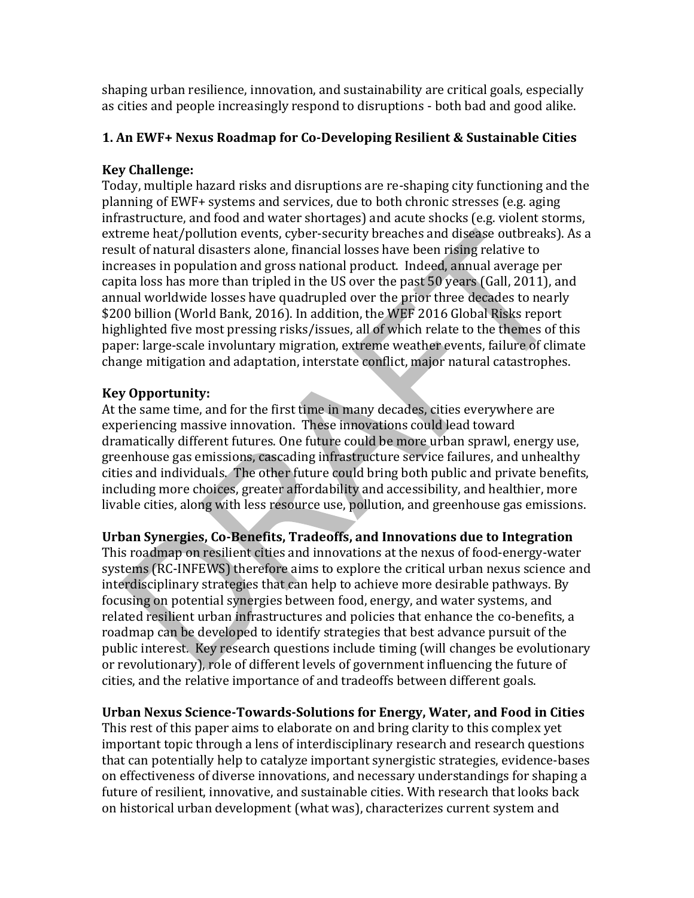shaping urban resilience, innovation, and sustainability are critical goals, especially as cities and people increasingly respond to disruptions - both bad and good alike.

## **1. An EWF+ Nexus Roadmap for Co-Developing Resilient & Sustainable Cities**

## **Key Challenge:**

Today, multiple hazard risks and disruptions are re-shaping city functioning and the planning of EWF+ systems and services, due to both chronic stresses (e.g. aging infrastructure, and food and water shortages) and acute shocks (e.g. violent storms, extreme heat/pollution events, cyber-security breaches and disease outbreaks). As a result of natural disasters alone, financial losses have been rising relative to increases in population and gross national product. Indeed, annual average per capita loss has more than tripled in the US over the past 50 years (Gall, 2011), and annual worldwide losses have quadrupled over the prior three decades to nearly \$200 billion (World Bank, 2016). In addition, the WEF 2016 Global Risks report highlighted five most pressing risks/issues, all of which relate to the themes of this paper: large-scale involuntary migration, extreme weather events, failure of climate change mitigation and adaptation, interstate conflict, major natural catastrophes.

## **Key Opportunity:**

At the same time, and for the first time in many decades, cities everywhere are experiencing massive innovation. These innovations could lead toward dramatically different futures. One future could be more urban sprawl, energy use, greenhouse gas emissions, cascading infrastructure service failures, and unhealthy cities and individuals. The other future could bring both public and private benefits, including more choices, greater affordability and accessibility, and healthier, more livable cities, along with less resource use, pollution, and greenhouse gas emissions.

# **Urban Synergies, Co-Benefits, Tradeoffs, and Innovations due to Integration**

This roadmap on resilient cities and innovations at the nexus of food-energy-water systems (RC-INFEWS) therefore aims to explore the critical urban nexus science and interdisciplinary strategies that can help to achieve more desirable pathways. By focusing on potential synergies between food, energy, and water systems, and related resilient urban infrastructures and policies that enhance the co-benefits, a roadmap can be developed to identify strategies that best advance pursuit of the public interest. Key research questions include timing (will changes be evolutionary or revolutionary), role of different levels of government influencing the future of cities, and the relative importance of and tradeoffs between different goals.

## **Urban Nexus Science-Towards-Solutions for Energy, Water, and Food in Cities**

This rest of this paper aims to elaborate on and bring clarity to this complex yet important topic through a lens of interdisciplinary research and research questions that can potentially help to catalyze important synergistic strategies, evidence-bases on effectiveness of diverse innovations, and necessary understandings for shaping a future of resilient, innovative, and sustainable cities. With research that looks back on historical urban development (what was), characterizes current system and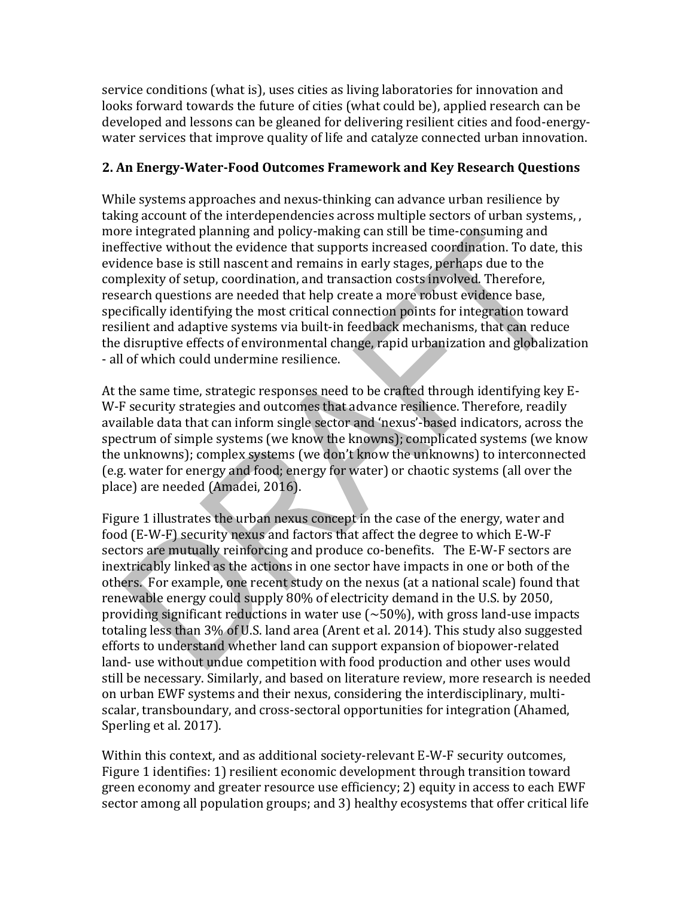service conditions (what is), uses cities as living laboratories for innovation and looks forward towards the future of cities (what could be), applied research can be developed and lessons can be gleaned for delivering resilient cities and food-energywater services that improve quality of life and catalyze connected urban innovation.

#### **2. An Energy-Water-Food Outcomes Framework and Key Research Questions**

While systems approaches and nexus-thinking can advance urban resilience by taking account of the interdependencies across multiple sectors of urban systems, , more integrated planning and policy-making can still be time-consuming and ineffective without the evidence that supports increased coordination. To date, this evidence base is still nascent and remains in early stages, perhaps due to the complexity of setup, coordination, and transaction costs involved. Therefore, research questions are needed that help create a more robust evidence base, specifically identifying the most critical connection points for integration toward resilient and adaptive systems via built-in feedback mechanisms, that can reduce the disruptive effects of environmental change, rapid urbanization and globalization - all of which could undermine resilience.

At the same time, strategic responses need to be crafted through identifying key E-W-F security strategies and outcomes that advance resilience. Therefore, readily available data that can inform single sector and 'nexus'-based indicators, across the spectrum of simple systems (we know the knowns); complicated systems (we know the unknowns); complex systems (we don't know the unknowns) to interconnected (e.g. water for energy and food; energy for water) or chaotic systems (all over the place) are needed (Amadei, 2016).

Figure 1 illustrates the urban nexus concept in the case of the energy, water and food (E-W-F) security nexus and factors that affect the degree to which E-W-F sectors are mutually reinforcing and produce co-benefits. The E-W-F sectors are inextricably linked as the actions in one sector have impacts in one or both of the others. For example, one recent study on the nexus (at a national scale) found that renewable energy could supply 80% of electricity demand in the U.S. by 2050, providing significant reductions in water use  $(\sim 50\%)$ , with gross land-use impacts totaling less than 3% of U.S. land area (Arent et al. 2014). This study also suggested efforts to understand whether land can support expansion of biopower-related land- use without undue competition with food production and other uses would still be necessary. Similarly, and based on literature review, more research is needed on urban EWF systems and their nexus, considering the interdisciplinary, multiscalar, transboundary, and cross-sectoral opportunities for integration (Ahamed, Sperling et al. 2017).

Within this context, and as additional society-relevant E-W-F security outcomes, Figure 1 identifies: 1) resilient economic development through transition toward green economy and greater resource use efficiency; 2) equity in access to each EWF sector among all population groups; and 3) healthy ecosystems that offer critical life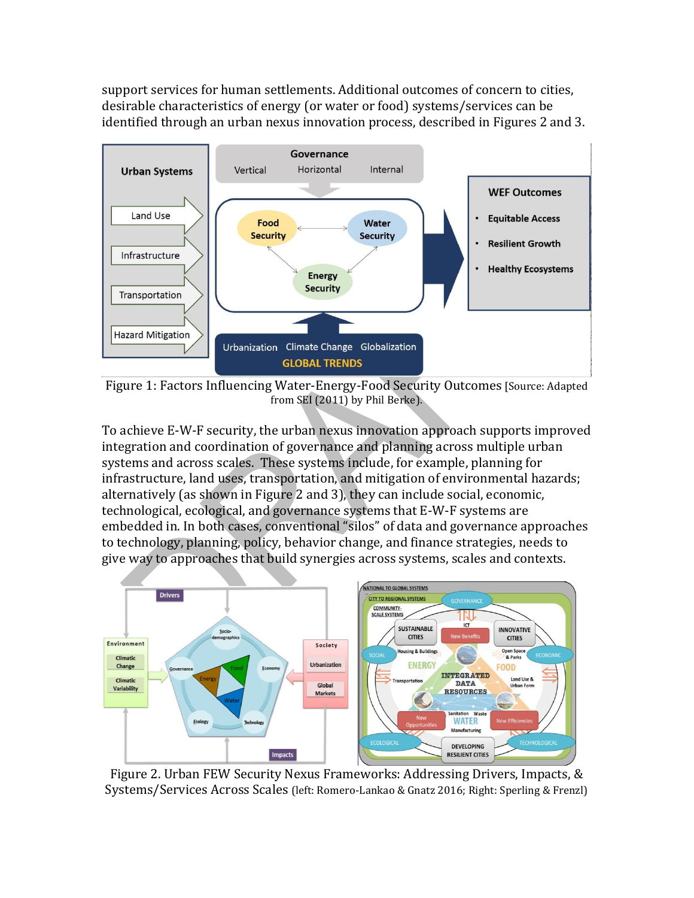support services for human settlements. Additional outcomes of concern to cities, desirable characteristics of energy (or water or food) systems/services can be identified through an urban nexus innovation process, described in Figures 2 and 3.



Figure 1: Factors Influencing Water-Energy-Food Security Outcomes [Source: Adapted from SEI (2011) by Phil Berke).

To achieve E-W-F security, the urban nexus innovation approach supports improved integration and coordination of governance and planning across multiple urban systems and across scales. These systems include, for example, planning for infrastructure, land uses, transportation, and mitigation of environmental hazards; alternatively (as shown in Figure 2 and 3), they can include social, economic, technological, ecological, and governance systems that E-W-F systems are embedded in. In both cases, conventional "silos" of data and governance approaches to technology, planning, policy, behavior change, and finance strategies, needs to give way to approaches that build synergies across systems, scales and contexts.



Figure 2. Urban FEW Security Nexus Frameworks: Addressing Drivers, Impacts, & Systems/Services Across Scales (left: Romero-Lankao & Gnatz 2016; Right: Sperling & Frenzl)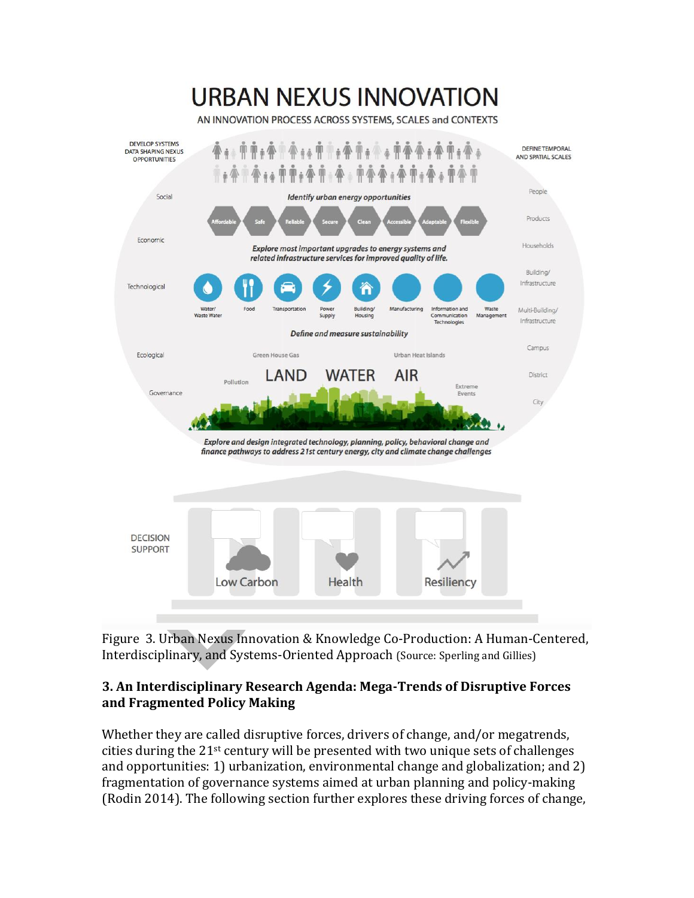# **URBAN NEXUS INNOVATION**

AN INNOVATION PROCESS ACROSS SYSTEMS, SCALES and CONTEXTS



Figure 3. Urban Nexus Innovation & Knowledge Co-Production: A Human-Centered, Interdisciplinary, and Systems-Oriented Approach (Source: Sperling and Gillies)

## **3. An Interdisciplinary Research Agenda: Mega-Trends of Disruptive Forces and Fragmented Policy Making**

Whether they are called disruptive forces, drivers of change, and/or megatrends, cities during the 21st century will be presented with two unique sets of challenges and opportunities: 1) urbanization, environmental change and globalization; and 2) fragmentation of governance systems aimed at urban planning and policy-making (Rodin 2014). The following section further explores these driving forces of change,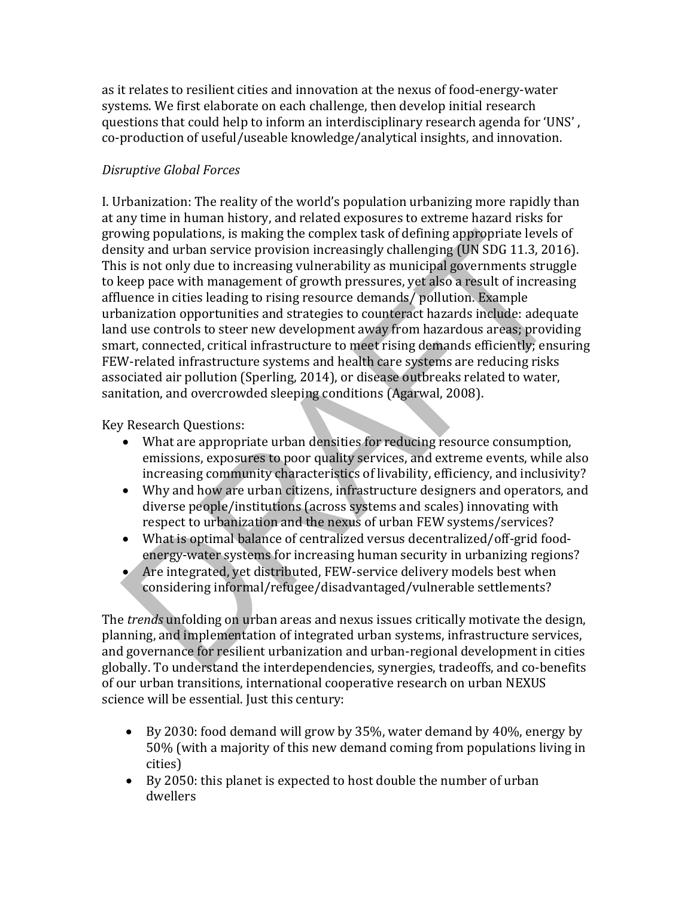as it relates to resilient cities and innovation at the nexus of food-energy-water systems. We first elaborate on each challenge, then develop initial research questions that could help to inform an interdisciplinary research agenda for 'UNS' , co-production of useful/useable knowledge/analytical insights, and innovation.

## *Disruptive Global Forces*

I. Urbanization: The reality of the world's population urbanizing more rapidly than at any time in human history, and related exposures to extreme hazard risks for growing populations, is making the complex task of defining appropriate levels of density and urban service provision increasingly challenging (UN SDG 11.3, 2016). This is not only due to increasing vulnerability as municipal governments struggle to keep pace with management of growth pressures, yet also a result of increasing affluence in cities leading to rising resource demands/ pollution. Example urbanization opportunities and strategies to counteract hazards include: adequate land use controls to steer new development away from hazardous areas; providing smart, connected, critical infrastructure to meet rising demands efficiently; ensuring FEW-related infrastructure systems and health care systems are reducing risks associated air pollution (Sperling, 2014), or disease outbreaks related to water, sanitation, and overcrowded sleeping conditions (Agarwal, 2008).

Key Research Questions:

- What are appropriate urban densities for reducing resource consumption, emissions, exposures to poor quality services, and extreme events, while also increasing community characteristics of livability, efficiency, and inclusivity?
- Why and how are urban citizens, infrastructure designers and operators, and diverse people/institutions (across systems and scales) innovating with respect to urbanization and the nexus of urban FEW systems/services?
- What is optimal balance of centralized versus decentralized/off-grid foodenergy-water systems for increasing human security in urbanizing regions?
- Are integrated, yet distributed, FEW-service delivery models best when considering informal/refugee/disadvantaged/vulnerable settlements?

The *trends* unfolding on urban areas and nexus issues critically motivate the design, planning, and implementation of integrated urban systems, infrastructure services, and governance for resilient urbanization and urban-regional development in cities globally. To understand the interdependencies, synergies, tradeoffs, and co-benefits of our urban transitions, international cooperative research on urban NEXUS science will be essential. Just this century:

- By 2030: food demand will grow by 35%, water demand by 40%, energy by 50% (with a majority of this new demand coming from populations living in cities)
- By 2050: this planet is expected to host double the number of urban dwellers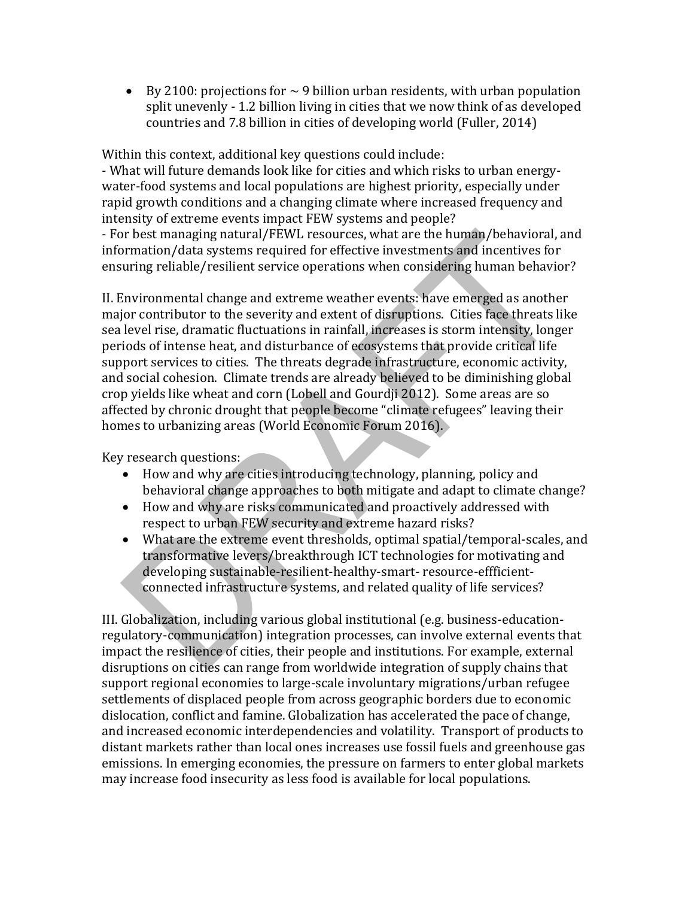• By 2100: projections for  $\sim$  9 billion urban residents, with urban population split unevenly - 1.2 billion living in cities that we now think of as developed countries and 7.8 billion in cities of developing world (Fuller, 2014)

Within this context, additional key questions could include:

- What will future demands look like for cities and which risks to urban energywater-food systems and local populations are highest priority, especially under rapid growth conditions and a changing climate where increased frequency and intensity of extreme events impact FEW systems and people?

- For best managing natural/FEWL resources, what are the human/behavioral, and information/data systems required for effective investments and incentives for ensuring reliable/resilient service operations when considering human behavior?

II. Environmental change and extreme weather events: have emerged as another major contributor to the severity and extent of disruptions. Cities face threats like sea level rise, dramatic fluctuations in rainfall, increases is storm intensity, longer periods of intense heat, and disturbance of ecosystems that provide critical life support services to cities. The threats degrade infrastructure, economic activity, and social cohesion. Climate trends are already believed to be diminishing global crop yields like wheat and corn (Lobell and Gourdji 2012). Some areas are so affected by chronic drought that people become "climate refugees" leaving their homes to urbanizing areas (World Economic Forum 2016).

Key research questions:

- How and why are cities introducing technology, planning, policy and behavioral change approaches to both mitigate and adapt to climate change?
- How and why are risks communicated and proactively addressed with respect to urban FEW security and extreme hazard risks?
- What are the extreme event thresholds, optimal spatial/temporal-scales, and transformative levers/breakthrough ICT technologies for motivating and developing sustainable-resilient-healthy-smart- resource-effficientconnected infrastructure systems, and related quality of life services?

III. Globalization, including various global institutional (e.g. business-educationregulatory-communication) integration processes, can involve external events that impact the resilience of cities, their people and institutions. For example, external disruptions on cities can range from worldwide integration of supply chains that support regional economies to large-scale involuntary migrations/urban refugee settlements of displaced people from across geographic borders due to economic dislocation, conflict and famine. Globalization has accelerated the pace of change, and increased economic interdependencies and volatility. Transport of products to distant markets rather than local ones increases use fossil fuels and greenhouse gas emissions. In emerging economies, the pressure on farmers to enter global markets may increase food insecurity as less food is available for local populations.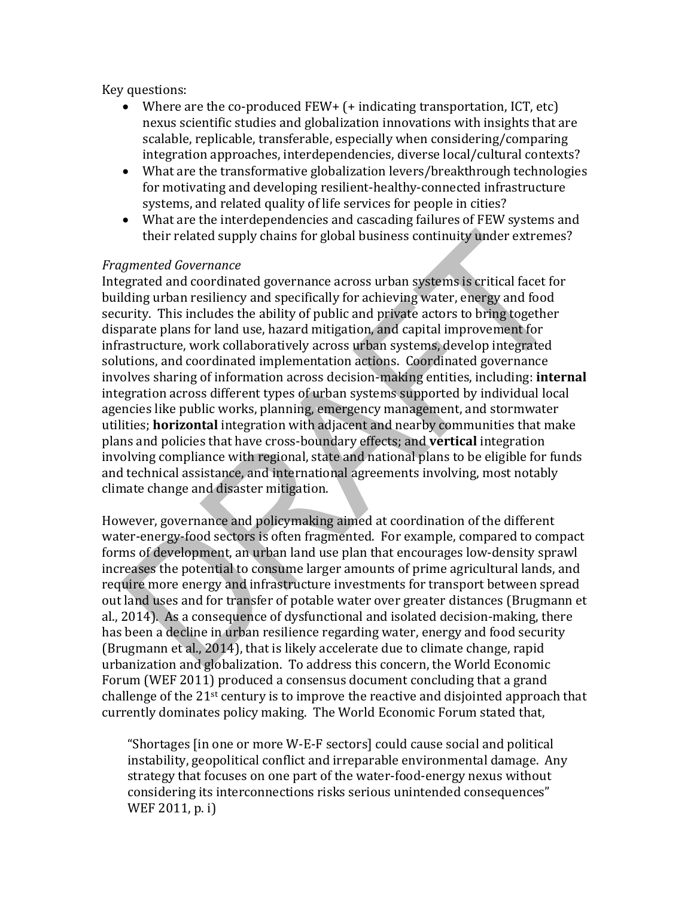Key questions:

- Where are the co-produced  $FEW+ (+)$  indicating transportation, ICT, etc) nexus scientific studies and globalization innovations with insights that are scalable, replicable, transferable, especially when considering/comparing integration approaches, interdependencies, diverse local/cultural contexts?
- What are the transformative globalization levers/breakthrough technologies for motivating and developing resilient-healthy-connected infrastructure systems, and related quality of life services for people in cities?
- What are the interdependencies and cascading failures of FEW systems and their related supply chains for global business continuity under extremes?

#### *Fragmented Governance*

Integrated and coordinated governance across urban systems is critical facet for building urban resiliency and specifically for achieving water, energy and food security. This includes the ability of public and private actors to bring together disparate plans for land use, hazard mitigation, and capital improvement for infrastructure, work collaboratively across urban systems, develop integrated solutions, and coordinated implementation actions. Coordinated governance involves sharing of information across decision-making entities, including: **internal** integration across different types of urban systems supported by individual local agencies like public works, planning, emergency management, and stormwater utilities; **horizontal** integration with adjacent and nearby communities that make plans and policies that have cross-boundary effects; and **vertical** integration involving compliance with regional, state and national plans to be eligible for funds and technical assistance, and international agreements involving, most notably climate change and disaster mitigation.

However, governance and policymaking aimed at coordination of the different water-energy-food sectors is often fragmented. For example, compared to compact forms of development, an urban land use plan that encourages low-density sprawl increases the potential to consume larger amounts of prime agricultural lands, and require more energy and infrastructure investments for transport between spread out land uses and for transfer of potable water over greater distances (Brugmann et al., 2014). As a consequence of dysfunctional and isolated decision-making, there has been a decline in urban resilience regarding water, energy and food security (Brugmann et al., 2014), that is likely accelerate due to climate change, rapid urbanization and globalization. To address this concern, the World Economic Forum (WEF 2011) produced a consensus document concluding that a grand challenge of the  $21<sup>st</sup>$  century is to improve the reactive and disjointed approach that currently dominates policy making. The World Economic Forum stated that,

"Shortages [in one or more W-E-F sectors] could cause social and political instability, geopolitical conflict and irreparable environmental damage. Any strategy that focuses on one part of the water-food-energy nexus without considering its interconnections risks serious unintended consequences" WEF 2011, p. i)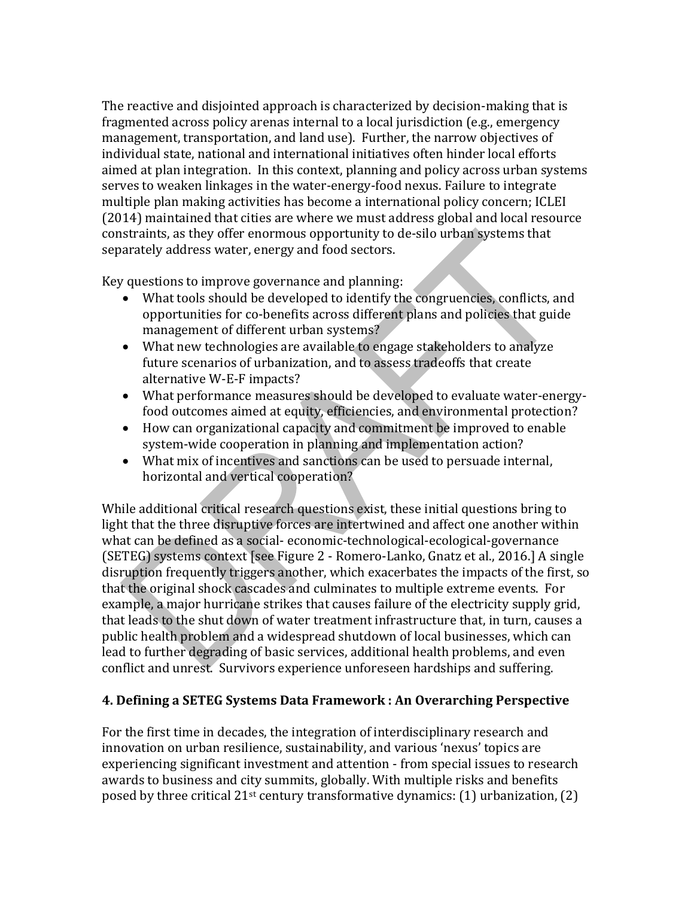The reactive and disjointed approach is characterized by decision-making that is fragmented across policy arenas internal to a local jurisdiction (e.g., emergency management, transportation, and land use). Further, the narrow objectives of individual state, national and international initiatives often hinder local efforts aimed at plan integration. In this context, planning and policy across urban systems serves to weaken linkages in the water-energy-food nexus. Failure to integrate multiple plan making activities has become a international policy concern; ICLEI (2014) maintained that cities are where we must address global and local resource constraints, as they offer enormous opportunity to de-silo urban systems that separately address water, energy and food sectors.

Key questions to improve governance and planning:

- What tools should be developed to identify the congruencies, conflicts, and opportunities for co-benefits across different plans and policies that guide management of different urban systems?
- What new technologies are available to engage stakeholders to analyze future scenarios of urbanization, and to assess tradeoffs that create alternative W-E-F impacts?
- What performance measures should be developed to evaluate water-energyfood outcomes aimed at equity, efficiencies, and environmental protection?
- How can organizational capacity and commitment be improved to enable system-wide cooperation in planning and implementation action?
- What mix of incentives and sanctions can be used to persuade internal, horizontal and vertical cooperation?

While additional critical research questions exist, these initial questions bring to light that the three disruptive forces are intertwined and affect one another within what can be defined as a social- economic-technological-ecological-governance (SETEG) systems context [see Figure 2 - Romero-Lanko, Gnatz et al., 2016.] A single disruption frequently triggers another, which exacerbates the impacts of the first, so that the original shock cascades and culminates to multiple extreme events. For example, a major hurricane strikes that causes failure of the electricity supply grid, that leads to the shut down of water treatment infrastructure that, in turn, causes a public health problem and a widespread shutdown of local businesses, which can lead to further degrading of basic services, additional health problems, and even conflict and unrest. Survivors experience unforeseen hardships and suffering.

## **4. Defining a SETEG Systems Data Framework : An Overarching Perspective**

For the first time in decades, the integration of interdisciplinary research and innovation on urban resilience, sustainability, and various 'nexus' topics are experiencing significant investment and attention - from special issues to research awards to business and city summits, globally. With multiple risks and benefits posed by three critical  $21^{st}$  century transformative dynamics: (1) urbanization, (2)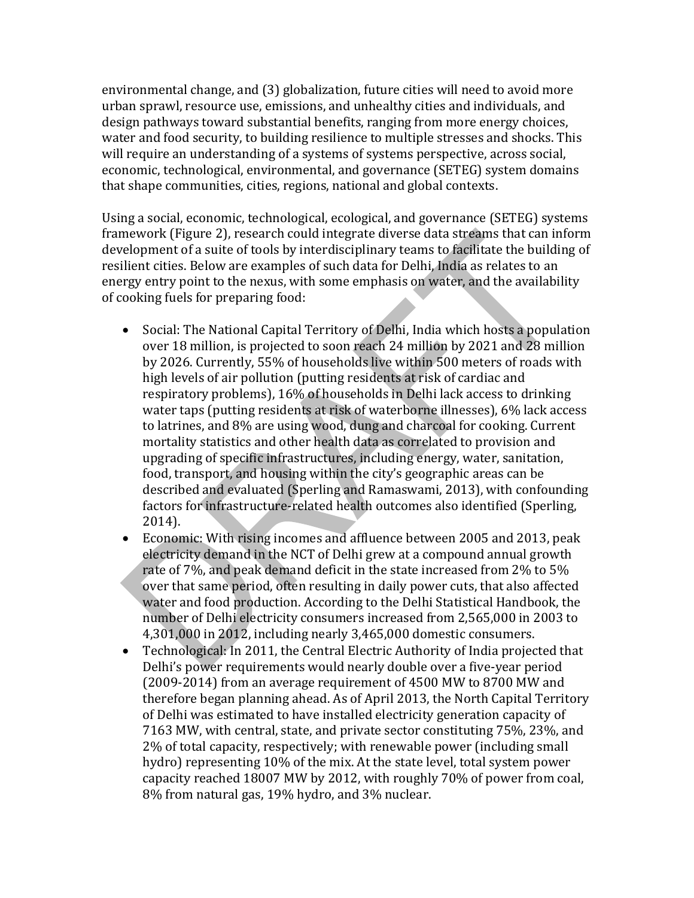environmental change, and (3) globalization, future cities will need to avoid more urban sprawl, resource use, emissions, and unhealthy cities and individuals, and design pathways toward substantial benefits, ranging from more energy choices, water and food security, to building resilience to multiple stresses and shocks. This will require an understanding of a systems of systems perspective, across social, economic, technological, environmental, and governance (SETEG) system domains that shape communities, cities, regions, national and global contexts.

Using a social, economic, technological, ecological, and governance (SETEG) systems framework (Figure 2), research could integrate diverse data streams that can inform development of a suite of tools by interdisciplinary teams to facilitate the building of resilient cities. Below are examples of such data for Delhi, India as relates to an energy entry point to the nexus, with some emphasis on water, and the availability of cooking fuels for preparing food:

- Social: The National Capital Territory of Delhi, India which hosts a population over 18 million, is projected to soon reach 24 million by 2021 and 28 million by 2026. Currently, 55% of households live within 500 meters of roads with high levels of air pollution (putting residents at risk of cardiac and respiratory problems), 16% of households in Delhi lack access to drinking water taps (putting residents at risk of waterborne illnesses), 6% lack access to latrines, and 8% are using wood, dung and charcoal for cooking. Current mortality statistics and other health data as correlated to provision and upgrading of specific infrastructures, including energy, water, sanitation, food, transport, and housing within the city's geographic areas can be described and evaluated (Sperling and Ramaswami, 2013), with confounding factors for infrastructure-related health outcomes also identified (Sperling, 2014).
- Economic: With rising incomes and affluence between 2005 and 2013, peak electricity demand in the NCT of Delhi grew at a compound annual growth rate of 7%, and peak demand deficit in the state increased from 2% to 5% over that same period, often resulting in daily power cuts, that also affected water and food production. According to the Delhi Statistical Handbook, the number of Delhi electricity consumers increased from 2,565,000 in 2003 to 4,301,000 in 2012, including nearly 3,465,000 domestic consumers.
- Technological: In 2011, the Central Electric Authority of India projected that Delhi's power requirements would nearly double over a five-year period (2009-2014) from an average requirement of 4500 MW to 8700 MW and therefore began planning ahead. As of April 2013, the North Capital Territory of Delhi was estimated to have installed electricity generation capacity of 7163 MW, with central, state, and private sector constituting 75%, 23%, and 2% of total capacity, respectively; with renewable power (including small hydro) representing 10% of the mix. At the state level, total system power capacity reached 18007 MW by 2012, with roughly 70% of power from coal, 8% from natural gas, 19% hydro, and 3% nuclear.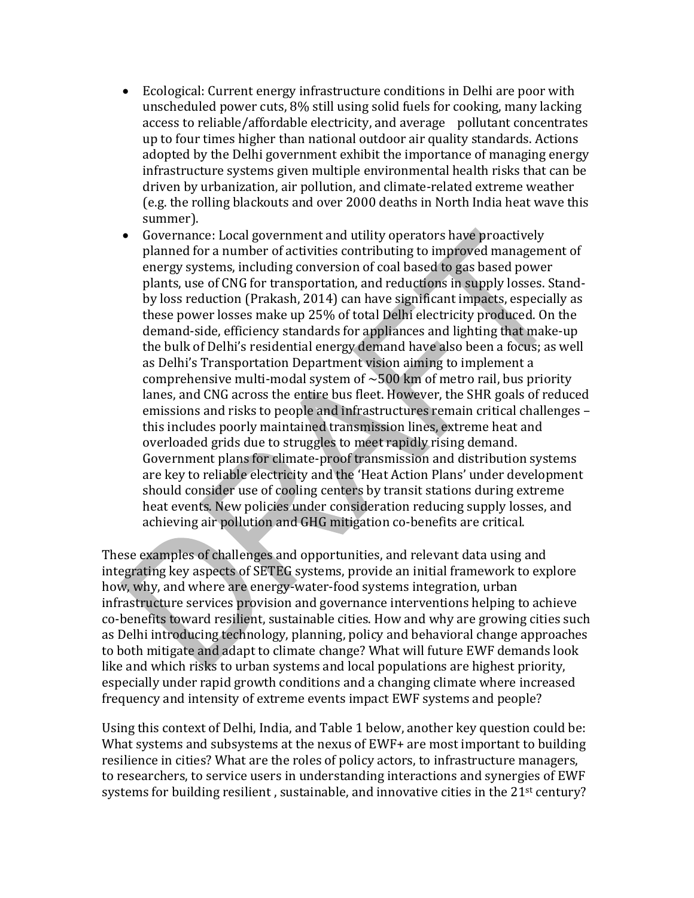- Ecological: Current energy infrastructure conditions in Delhi are poor with unscheduled power cuts, 8% still using solid fuels for cooking, many lacking access to reliable/affordable electricity, and average pollutant concentrates up to four times higher than national outdoor air quality standards. Actions adopted by the Delhi government exhibit the importance of managing energy infrastructure systems given multiple environmental health risks that can be driven by urbanization, air pollution, and climate-related extreme weather (e.g. the rolling blackouts and over 2000 deaths in North India heat wave this summer).
- Governance: Local government and utility operators have proactively planned for a number of activities contributing to improved management of energy systems, including conversion of coal based to gas based power plants, use of CNG for transportation, and reductions in supply losses. Standby loss reduction (Prakash, 2014) can have significant impacts, especially as these power losses make up 25% of total Delhi electricity produced. On the demand-side, efficiency standards for appliances and lighting that make-up the bulk of Delhi's residential energy demand have also been a focus; as well as Delhi's Transportation Department vision aiming to implement a comprehensive multi-modal system of  $\sim$  500 km of metro rail, bus priority lanes, and CNG across the entire bus fleet. However, the SHR goals of reduced emissions and risks to people and infrastructures remain critical challenges – this includes poorly maintained transmission lines, extreme heat and overloaded grids due to struggles to meet rapidly rising demand. Government plans for climate-proof transmission and distribution systems are key to reliable electricity and the 'Heat Action Plans' under development should consider use of cooling centers by transit stations during extreme heat events. New policies under consideration reducing supply losses, and achieving air pollution and GHG mitigation co-benefits are critical.

These examples of challenges and opportunities, and relevant data using and integrating key aspects of SETEG systems, provide an initial framework to explore how, why, and where are energy-water-food systems integration, urban infrastructure services provision and governance interventions helping to achieve co-benefits toward resilient, sustainable cities. How and why are growing cities such as Delhi introducing technology, planning, policy and behavioral change approaches to both mitigate and adapt to climate change? What will future EWF demands look like and which risks to urban systems and local populations are highest priority, especially under rapid growth conditions and a changing climate where increased frequency and intensity of extreme events impact EWF systems and people?

Using this context of Delhi, India, and Table 1 below, another key question could be: What systems and subsystems at the nexus of EWF+ are most important to building resilience in cities? What are the roles of policy actors, to infrastructure managers, to researchers, to service users in understanding interactions and synergies of EWF systems for building resilient, sustainable, and innovative cities in the 21<sup>st</sup> century?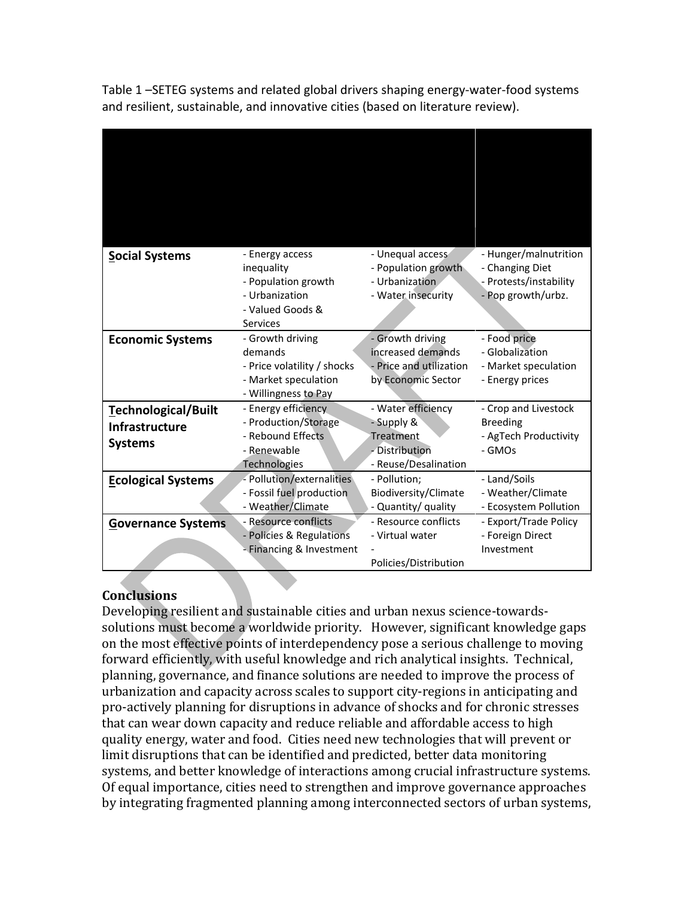Table 1 –SETEG systems and related global drivers shaping energy-water-food systems and resilient, sustainable, and innovative cities (based on literature review).

| <b>Social Systems</b>                                          | - Energy access<br>inequality<br>- Population growth<br>- Urbanization<br>- Valued Goods &<br>Services     | - Unequal access<br>- Population growth<br>- Urbanization<br>- Water insecurity         | - Hunger/malnutrition<br>- Changing Diet<br>- Protests/instability<br>- Pop growth/urbz. |
|----------------------------------------------------------------|------------------------------------------------------------------------------------------------------------|-----------------------------------------------------------------------------------------|------------------------------------------------------------------------------------------|
| <b>Economic Systems</b>                                        | - Growth driving<br>demands<br>- Price volatility / shocks<br>- Market speculation<br>- Willingness to Pay | - Growth driving<br>increased demands<br>Price and utilization<br>by Economic Sector    | - Food price<br>- Globalization<br>- Market speculation<br>- Energy prices               |
| Technological/Built<br><b>Infrastructure</b><br><b>Systems</b> | - Energy efficiency<br>- Production/Storage<br>- Rebound Effects<br>- Renewable<br><b>Technologies</b>     | - Water efficiency<br>- Supply &<br>Treatment<br>- Distribution<br>- Reuse/Desalination | - Crop and Livestock<br><b>Breeding</b><br>- AgTech Productivity<br>- GMOs               |
| <b>Ecological Systems</b>                                      | - Pollution/externalities<br>- Fossil fuel production<br>- Weather/Climate                                 | - Pollution;<br>Biodiversity/Climate<br>- Quantity/ quality                             | - Land/Soils<br>- Weather/Climate<br>- Ecosystem Pollution                               |
| <b>Governance Systems</b>                                      | - Resource conflicts<br>- Policies & Regulations<br>- Financing & Investment                               | - Resource conflicts<br>- Virtual water<br>Policies/Distribution                        | - Export/Trade Policy<br>- Foreign Direct<br>Investment                                  |

# **Conclusions**

Developing resilient and sustainable cities and urban nexus science-towardssolutions must become a worldwide priority. However, significant knowledge gaps on the most effective points of interdependency pose a serious challenge to moving forward efficiently, with useful knowledge and rich analytical insights. Technical, planning, governance, and finance solutions are needed to improve the process of urbanization and capacity across scales to support city-regions in anticipating and pro-actively planning for disruptions in advance of shocks and for chronic stresses that can wear down capacity and reduce reliable and affordable access to high quality energy, water and food. Cities need new technologies that will prevent or limit disruptions that can be identified and predicted, better data monitoring systems, and better knowledge of interactions among crucial infrastructure systems. Of equal importance, cities need to strengthen and improve governance approaches by integrating fragmented planning among interconnected sectors of urban systems,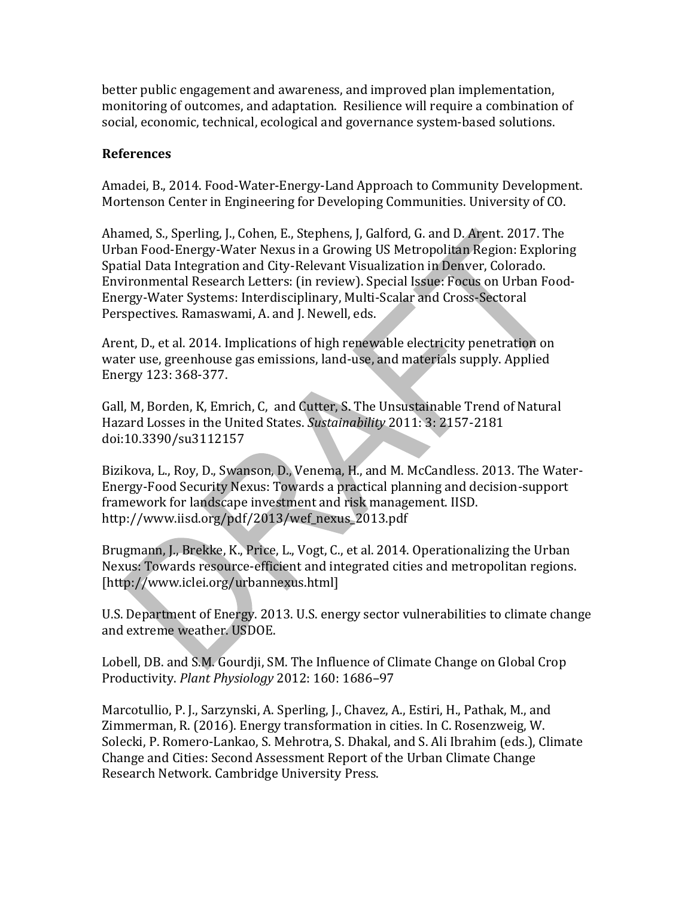better public engagement and awareness, and improved plan implementation, monitoring of outcomes, and adaptation. Resilience will require a combination of social, economic, technical, ecological and governance system-based solutions.

#### **References**

Amadei, B., 2014. Food-Water-Energy-Land Approach to Community Development. Mortenson Center in Engineering for Developing Communities. University of CO.

Ahamed, S., Sperling, J., Cohen, E., Stephens, J, Galford, G. and D. Arent. 2017. The Urban Food-Energy-Water Nexus in a Growing US Metropolitan Region: Exploring Spatial Data Integration and City-Relevant Visualization in Denver, Colorado. Environmental Research Letters: (in review). Special Issue: Focus on Urban Food-Energy-Water Systems: Interdisciplinary, Multi-Scalar and Cross-Sectoral Perspectives. Ramaswami, A. and J. Newell, eds.

Arent, D., et al. 2014. Implications of high renewable electricity penetration on water use, greenhouse gas emissions, land-use, and materials supply. Applied Energy 123: 368-377.

Gall, M, Borden, K, Emrich, C, and Cutter, S. The Unsustainable Trend of Natural Hazard Losses in the United States. *Sustainability* 2011: 3: 2157-2181 doi:10.3390/su3112157

Bizikova, L., Roy, D., Swanson, D., Venema, H., and M. McCandless. 2013. The Water-Energy-Food Security Nexus: Towards a practical planning and decision-support framework for landscape investment and risk management. IISD. http://www.iisd.org/pdf/2013/wef\_nexus\_2013.pdf

Brugmann, J., Brekke, K., Price, L., Vogt, C., et al. 2014. Operationalizing the Urban Nexus: Towards resource-efficient and integrated cities and metropolitan regions. [http://www.iclei.org/urbannexus.html]

U.S. Department of Energy. 2013. U.S. energy sector vulnerabilities to climate change and extreme weather. USDOE.

Lobell, DB. and S.M. Gourdji, SM. The Influence of Climate Change on Global Crop Productivity. *Plant Physiology* 2012: 160: 1686–97

Marcotullio, P. J., Sarzynski, A. Sperling, J., Chavez, A., Estiri, H., Pathak, M., and Zimmerman, R. (2016). Energy transformation in cities. In C. Rosenzweig, W. Solecki, P. Romero-Lankao, S. Mehrotra, S. Dhakal, and S. Ali Ibrahim (eds.), Climate Change and Cities: Second Assessment Report of the Urban Climate Change Research Network. Cambridge University Press.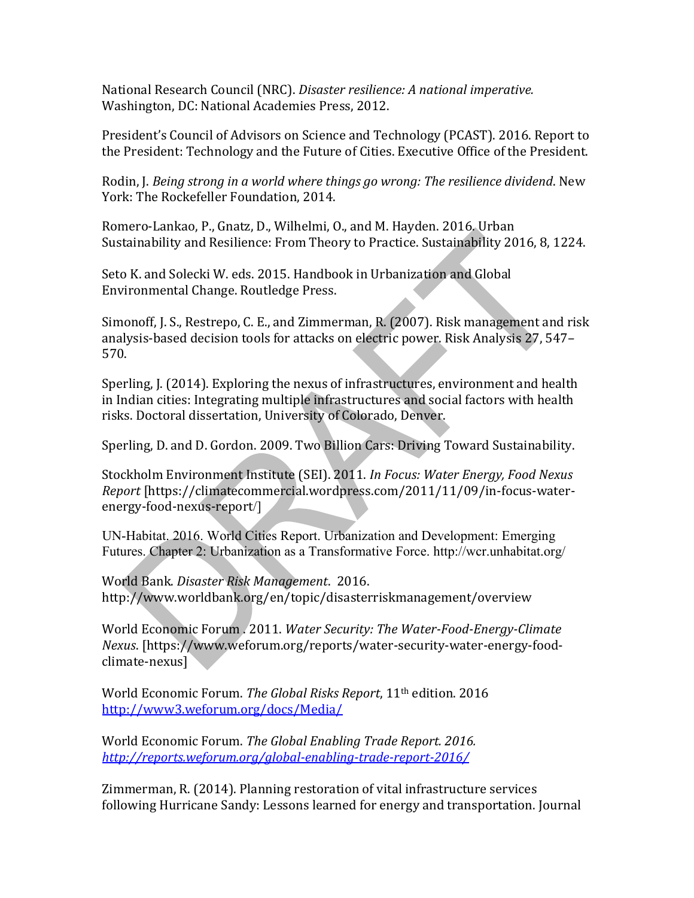National Research Council (NRC). *Disaster resilience: A national imperative.*  Washington, DC: National Academies Press, 2012.

President's Council of Advisors on Science and Technology (PCAST). 2016. Report to the President: Technology and the Future of Cities. Executive Office of the President.

Rodin, J. *Being strong in a world where things go wrong: The resilience dividend*. New York: The Rockefeller Foundation, 2014.

Romero-Lankao, P., Gnatz, D., Wilhelmi, O., and M. Hayden. 2016. Urban Sustainability and Resilience: From Theory to Practice. Sustainability 2016, 8, 1224.

Seto K. and Solecki W. eds. 2015. Handbook in Urbanization and Global Environmental Change. Routledge Press.

Simonoff, J. S., Restrepo, C. E., and Zimmerman, R. (2007). Risk management and risk analysis-based decision tools for attacks on electric power. Risk Analysis 27, 547– 570.

Sperling, J. (2014). Exploring the nexus of infrastructures, environment and health in Indian cities: Integrating multiple infrastructures and social factors with health risks. Doctoral dissertation, University of Colorado, Denver.

Sperling, D. and D. Gordon. 2009. Two Billion Cars: Driving Toward Sustainability.

Stockholm Environment Institute (SEI). 2011. *In Focus: Water Energy, Food Nexus Report* [https://climatecommercial.wordpress.com/2011/11/09/in-focus-waterenergy-food-nexus-report/]

UN-Habitat. 2016. World Cities Report. Urbanization and Development: Emerging Futures. Chapter 2: Urbanization as a Transformative Force. http://wcr.unhabitat.org/

World Bank. *Disaster Risk Management*. 2016. http://www.worldbank.org/en/topic/disasterriskmanagement/overview

World Economic Forum . 2011. *Water Security: The Water-Food-Energy-Climate Nexus*. [https://www.weforum.org/reports/water-security-water-energy-foodclimate-nexus]

World Economic Forum. *The Global Risks Report*, 11th edition. 2016 <http://www3.weforum.org/docs/Media/>

World Economic Forum. *The Global Enabling Trade Report. 2016. <http://reports.weforum.org/global-enabling-trade-report-2016/>*

Zimmerman, R. (2014). Planning restoration of vital infrastructure services following Hurricane Sandy: Lessons learned for energy and transportation. Journal